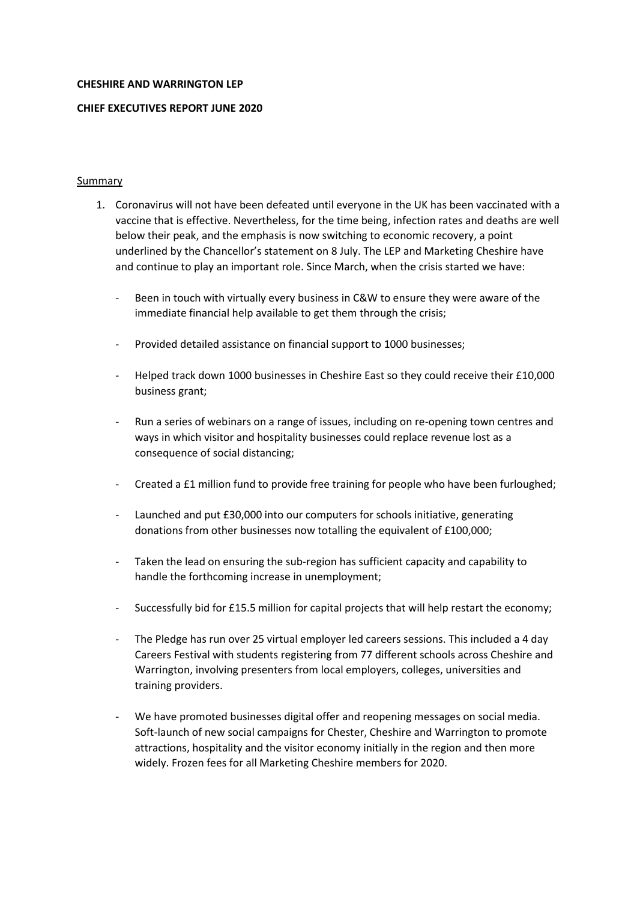#### **CHESHIRE AND WARRINGTON LEP**

## **CHIEF EXECUTIVES REPORT JUNE 2020**

## Summary

- 1. Coronavirus will not have been defeated until everyone in the UK has been vaccinated with a vaccine that is effective. Nevertheless, for the time being, infection rates and deaths are well below their peak, and the emphasis is now switching to economic recovery, a point underlined by the Chancellor's statement on 8 July. The LEP and Marketing Cheshire have and continue to play an important role. Since March, when the crisis started we have:
	- Been in touch with virtually every business in C&W to ensure they were aware of the immediate financial help available to get them through the crisis;
	- Provided detailed assistance on financial support to 1000 businesses;
	- Helped track down 1000 businesses in Cheshire East so they could receive their £10,000 business grant;
	- Run a series of webinars on a range of issues, including on re-opening town centres and ways in which visitor and hospitality businesses could replace revenue lost as a consequence of social distancing;
	- Created a £1 million fund to provide free training for people who have been furloughed;
	- Launched and put £30,000 into our computers for schools initiative, generating donations from other businesses now totalling the equivalent of £100,000;
	- Taken the lead on ensuring the sub-region has sufficient capacity and capability to handle the forthcoming increase in unemployment;
	- Successfully bid for £15.5 million for capital projects that will help restart the economy;
	- The Pledge has run over 25 virtual employer led careers sessions. This included a 4 day Careers Festival with students registering from 77 different schools across Cheshire and Warrington, involving presenters from local employers, colleges, universities and training providers.
	- We have promoted businesses digital offer and reopening messages on social media. Soft-launch of new social campaigns for Chester, Cheshire and Warrington to promote attractions, hospitality and the visitor economy initially in the region and then more widely. Frozen fees for all Marketing Cheshire members for 2020.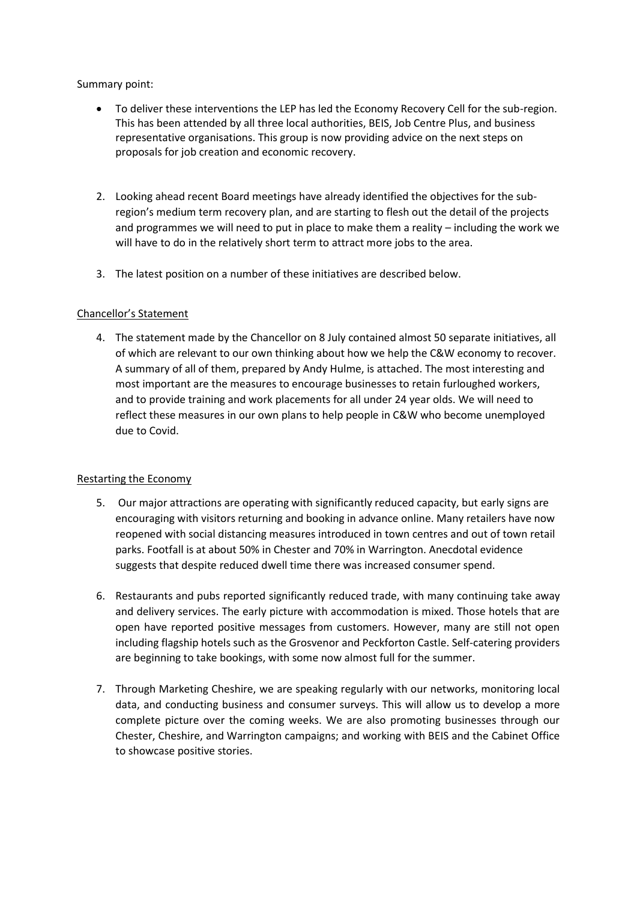## Summary point:

- To deliver these interventions the LEP has led the Economy Recovery Cell for the sub-region. This has been attended by all three local authorities, BEIS, Job Centre Plus, and business representative organisations. This group is now providing advice on the next steps on proposals for job creation and economic recovery.
- 2. Looking ahead recent Board meetings have already identified the objectives for the subregion's medium term recovery plan, and are starting to flesh out the detail of the projects and programmes we will need to put in place to make them a reality – including the work we will have to do in the relatively short term to attract more jobs to the area.
- 3. The latest position on a number of these initiatives are described below.

## Chancellor's Statement

4. The statement made by the Chancellor on 8 July contained almost 50 separate initiatives, all of which are relevant to our own thinking about how we help the C&W economy to recover. A summary of all of them, prepared by Andy Hulme, is attached. The most interesting and most important are the measures to encourage businesses to retain furloughed workers, and to provide training and work placements for all under 24 year olds. We will need to reflect these measures in our own plans to help people in C&W who become unemployed due to Covid.

## Restarting the Economy

- 5. Our major attractions are operating with significantly reduced capacity, but early signs are encouraging with visitors returning and booking in advance online. Many retailers have now reopened with social distancing measures introduced in town centres and out of town retail parks. Footfall is at about 50% in Chester and 70% in Warrington. Anecdotal evidence suggests that despite reduced dwell time there was increased consumer spend.
- 6. Restaurants and pubs reported significantly reduced trade, with many continuing take away and delivery services. The early picture with accommodation is mixed. Those hotels that are open have reported positive messages from customers. However, many are still not open including flagship hotels such as the Grosvenor and Peckforton Castle. Self-catering providers are beginning to take bookings, with some now almost full for the summer.
- 7. Through Marketing Cheshire, we are speaking regularly with our networks, monitoring local data, and conducting business and consumer surveys. This will allow us to develop a more complete picture over the coming weeks. We are also promoting businesses through our Chester, Cheshire, and Warrington campaigns; and working with BEIS and the Cabinet Office to showcase positive stories.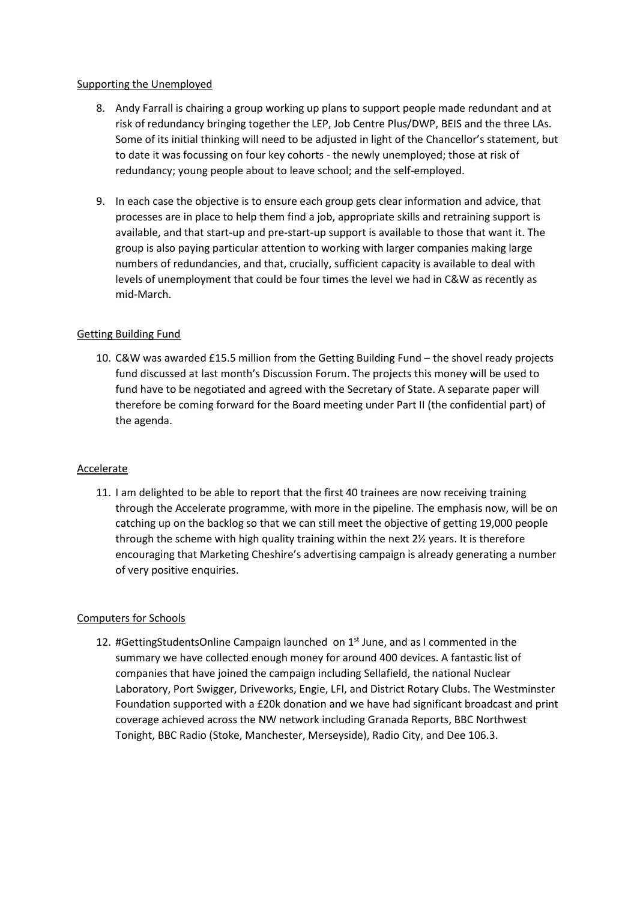## Supporting the Unemployed

- 8. Andy Farrall is chairing a group working up plans to support people made redundant and at risk of redundancy bringing together the LEP, Job Centre Plus/DWP, BEIS and the three LAs. Some of its initial thinking will need to be adjusted in light of the Chancellor's statement, but to date it was focussing on four key cohorts - the newly unemployed; those at risk of redundancy; young people about to leave school; and the self-employed.
- 9. In each case the objective is to ensure each group gets clear information and advice, that processes are in place to help them find a job, appropriate skills and retraining support is available, and that start-up and pre-start-up support is available to those that want it. The group is also paying particular attention to working with larger companies making large numbers of redundancies, and that, crucially, sufficient capacity is available to deal with levels of unemployment that could be four times the level we had in C&W as recently as mid-March.

## Getting Building Fund

10. C&W was awarded £15.5 million from the Getting Building Fund – the shovel ready projects fund discussed at last month's Discussion Forum. The projects this money will be used to fund have to be negotiated and agreed with the Secretary of State. A separate paper will therefore be coming forward for the Board meeting under Part II (the confidential part) of the agenda.

## Accelerate

11. I am delighted to be able to report that the first 40 trainees are now receiving training through the Accelerate programme, with more in the pipeline. The emphasis now, will be on catching up on the backlog so that we can still meet the objective of getting 19,000 people through the scheme with high quality training within the next 2½ years. It is therefore encouraging that Marketing Cheshire's advertising campaign is already generating a number of very positive enquiries.

## Computers for Schools

12. #GettingStudentsOnline Campaign launched on 1<sup>st</sup> June, and as I commented in the summary we have collected enough money for around 400 devices. A fantastic list of companies that have joined the campaign including Sellafield, the national Nuclear Laboratory, Port Swigger, Driveworks, Engie, LFI, and District Rotary Clubs. The Westminster Foundation supported with a £20k donation and we have had significant broadcast and print coverage achieved across the NW network including Granada Reports, BBC Northwest Tonight, BBC Radio (Stoke, Manchester, Merseyside), Radio City, and Dee 106.3.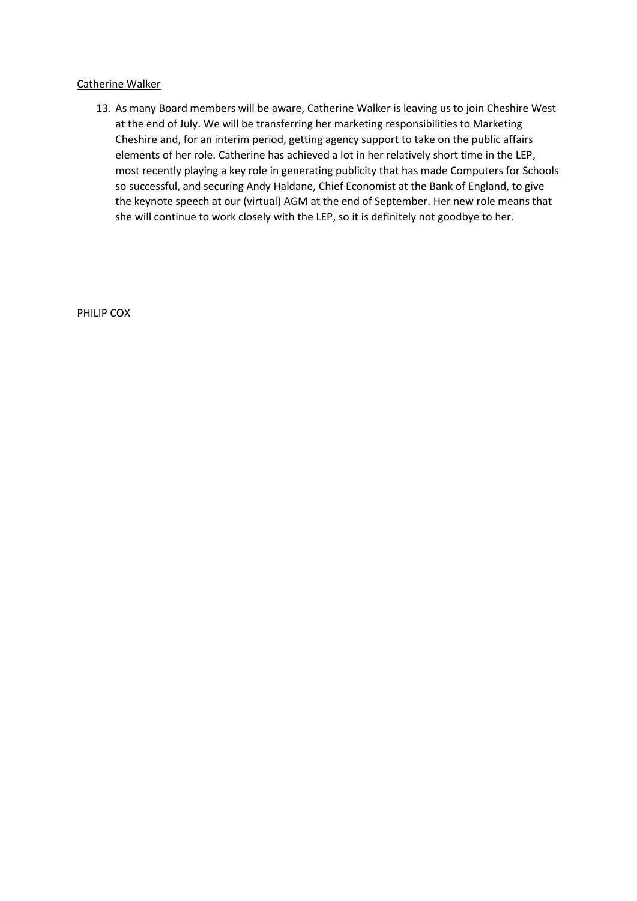## Catherine Walker

13. As many Board members will be aware, Catherine Walker is leaving us to join Cheshire West at the end of July. We will be transferring her marketing responsibilities to Marketing Cheshire and, for an interim period, getting agency support to take on the public affairs elements of her role. Catherine has achieved a lot in her relatively short time in the LEP, most recently playing a key role in generating publicity that has made Computers for Schools so successful, and securing Andy Haldane, Chief Economist at the Bank of England, to give the keynote speech at our (virtual) AGM at the end of September. Her new role means that she will continue to work closely with the LEP, so it is definitely not goodbye to her.

PHILIP COX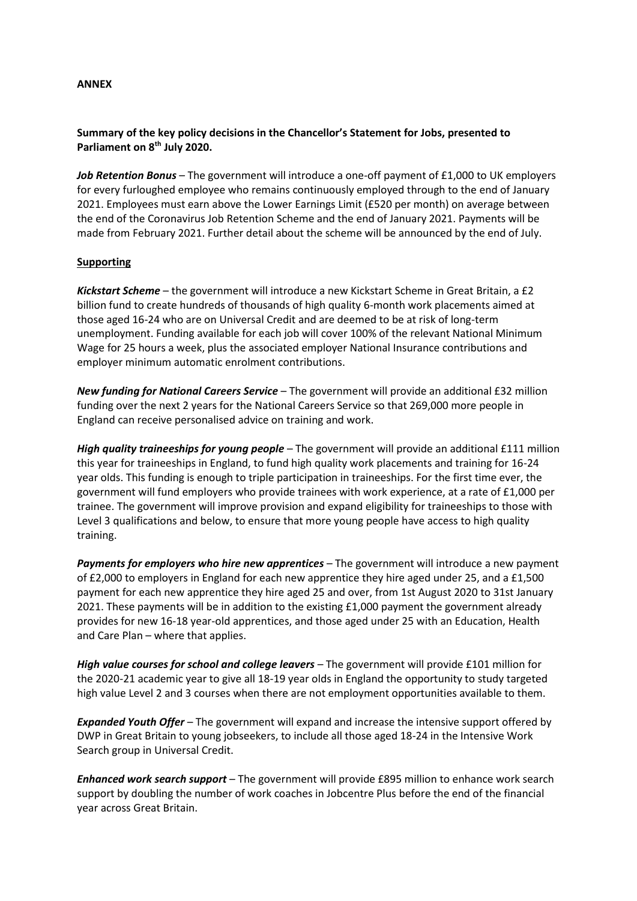#### **ANNEX**

## **Summary of the key policy decisions in the Chancellor's Statement for Jobs, presented to Parliament on 8th July 2020.**

*Job Retention Bonus* – The government will introduce a one-off payment of £1,000 to UK employers for every furloughed employee who remains continuously employed through to the end of January 2021. Employees must earn above the Lower Earnings Limit (£520 per month) on average between the end of the Coronavirus Job Retention Scheme and the end of January 2021. Payments will be made from February 2021. Further detail about the scheme will be announced by the end of July.

## **Supporting**

*Kickstart Scheme* – the government will introduce a new Kickstart Scheme in Great Britain, a £2 billion fund to create hundreds of thousands of high quality 6-month work placements aimed at those aged 16-24 who are on Universal Credit and are deemed to be at risk of long-term unemployment. Funding available for each job will cover 100% of the relevant National Minimum Wage for 25 hours a week, plus the associated employer National Insurance contributions and employer minimum automatic enrolment contributions.

*New funding for National Careers Service* – The government will provide an additional £32 million funding over the next 2 years for the National Careers Service so that 269,000 more people in England can receive personalised advice on training and work.

*High quality traineeships for young people* – The government will provide an additional £111 million this year for traineeships in England, to fund high quality work placements and training for 16-24 year olds. This funding is enough to triple participation in traineeships. For the first time ever, the government will fund employers who provide trainees with work experience, at a rate of £1,000 per trainee. The government will improve provision and expand eligibility for traineeships to those with Level 3 qualifications and below, to ensure that more young people have access to high quality training.

*Payments for employers who hire new apprentices* – The government will introduce a new payment of £2,000 to employers in England for each new apprentice they hire aged under 25, and a £1,500 payment for each new apprentice they hire aged 25 and over, from 1st August 2020 to 31st January 2021. These payments will be in addition to the existing £1,000 payment the government already provides for new 16-18 year-old apprentices, and those aged under 25 with an Education, Health and Care Plan – where that applies.

*High value courses for school and college leavers* – The government will provide £101 million for the 2020-21 academic year to give all 18-19 year olds in England the opportunity to study targeted high value Level 2 and 3 courses when there are not employment opportunities available to them.

*Expanded Youth Offer* – The government will expand and increase the intensive support offered by DWP in Great Britain to young jobseekers, to include all those aged 18-24 in the Intensive Work Search group in Universal Credit.

*Enhanced work search support* – The government will provide £895 million to enhance work search support by doubling the number of work coaches in Jobcentre Plus before the end of the financial year across Great Britain.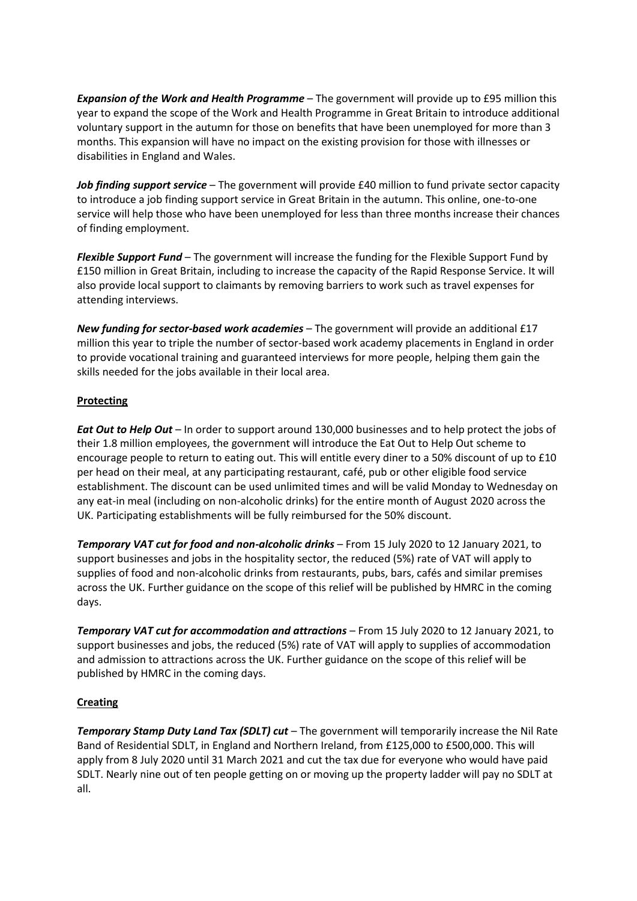*Expansion of the Work and Health Programme* – The government will provide up to £95 million this year to expand the scope of the Work and Health Programme in Great Britain to introduce additional voluntary support in the autumn for those on benefits that have been unemployed for more than 3 months. This expansion will have no impact on the existing provision for those with illnesses or disabilities in England and Wales.

*Job finding support service* – The government will provide £40 million to fund private sector capacity to introduce a job finding support service in Great Britain in the autumn. This online, one-to-one service will help those who have been unemployed for less than three months increase their chances of finding employment.

*Flexible Support Fund* – The government will increase the funding for the Flexible Support Fund by £150 million in Great Britain, including to increase the capacity of the Rapid Response Service. It will also provide local support to claimants by removing barriers to work such as travel expenses for attending interviews.

*New funding for sector-based work academies* – The government will provide an additional £17 million this year to triple the number of sector-based work academy placements in England in order to provide vocational training and guaranteed interviews for more people, helping them gain the skills needed for the jobs available in their local area.

## **Protecting**

*Eat Out to Help Out* – In order to support around 130,000 businesses and to help protect the jobs of their 1.8 million employees, the government will introduce the Eat Out to Help Out scheme to encourage people to return to eating out. This will entitle every diner to a 50% discount of up to £10 per head on their meal, at any participating restaurant, café, pub or other eligible food service establishment. The discount can be used unlimited times and will be valid Monday to Wednesday on any eat-in meal (including on non-alcoholic drinks) for the entire month of August 2020 across the UK. Participating establishments will be fully reimbursed for the 50% discount.

*Temporary VAT cut for food and non-alcoholic drinks* – From 15 July 2020 to 12 January 2021, to support businesses and jobs in the hospitality sector, the reduced (5%) rate of VAT will apply to supplies of food and non-alcoholic drinks from restaurants, pubs, bars, cafés and similar premises across the UK. Further guidance on the scope of this relief will be published by HMRC in the coming days.

*Temporary VAT cut for accommodation and attractions* – From 15 July 2020 to 12 January 2021, to support businesses and jobs, the reduced (5%) rate of VAT will apply to supplies of accommodation and admission to attractions across the UK. Further guidance on the scope of this relief will be published by HMRC in the coming days.

# **Creating**

*Temporary Stamp Duty Land Tax (SDLT) cut* – The government will temporarily increase the Nil Rate Band of Residential SDLT, in England and Northern Ireland, from £125,000 to £500,000. This will apply from 8 July 2020 until 31 March 2021 and cut the tax due for everyone who would have paid SDLT. Nearly nine out of ten people getting on or moving up the property ladder will pay no SDLT at all.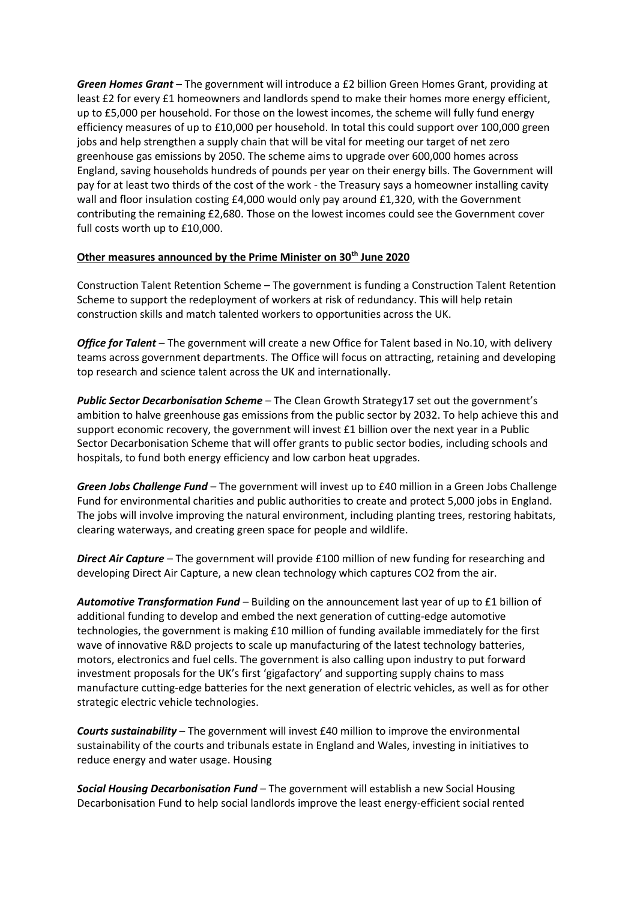*Green Homes Grant* – The government will introduce a £2 billion Green Homes Grant, providing at least £2 for every £1 homeowners and landlords spend to make their homes more energy efficient, up to £5,000 per household. For those on the lowest incomes, the scheme will fully fund energy efficiency measures of up to £10,000 per household. In total this could support over 100,000 green jobs and help strengthen a supply chain that will be vital for meeting our target of net zero greenhouse gas emissions by 2050. The scheme aims to upgrade over 600,000 homes across England, saving households hundreds of pounds per year on their energy bills. The Government will pay for at least two thirds of the cost of the work - the Treasury says a homeowner installing cavity wall and floor insulation costing £4,000 would only pay around £1,320, with the Government contributing the remaining £2,680. Those on the lowest incomes could see the Government cover full costs worth up to £10,000.

## **Other measures announced by the Prime Minister on 30th June 2020**

Construction Talent Retention Scheme – The government is funding a Construction Talent Retention Scheme to support the redeployment of workers at risk of redundancy. This will help retain construction skills and match talented workers to opportunities across the UK.

*Office for Talent* – The government will create a new Office for Talent based in No.10, with delivery teams across government departments. The Office will focus on attracting, retaining and developing top research and science talent across the UK and internationally.

*Public Sector Decarbonisation Scheme* – The Clean Growth Strategy17 set out the government's ambition to halve greenhouse gas emissions from the public sector by 2032. To help achieve this and support economic recovery, the government will invest £1 billion over the next year in a Public Sector Decarbonisation Scheme that will offer grants to public sector bodies, including schools and hospitals, to fund both energy efficiency and low carbon heat upgrades.

*Green Jobs Challenge Fund* – The government will invest up to £40 million in a Green Jobs Challenge Fund for environmental charities and public authorities to create and protect 5,000 jobs in England. The jobs will involve improving the natural environment, including planting trees, restoring habitats, clearing waterways, and creating green space for people and wildlife.

*Direct Air Capture* – The government will provide £100 million of new funding for researching and developing Direct Air Capture, a new clean technology which captures CO2 from the air.

*Automotive Transformation Fund* – Building on the announcement last year of up to £1 billion of additional funding to develop and embed the next generation of cutting-edge automotive technologies, the government is making £10 million of funding available immediately for the first wave of innovative R&D projects to scale up manufacturing of the latest technology batteries, motors, electronics and fuel cells. The government is also calling upon industry to put forward investment proposals for the UK's first 'gigafactory' and supporting supply chains to mass manufacture cutting-edge batteries for the next generation of electric vehicles, as well as for other strategic electric vehicle technologies.

*Courts sustainability* – The government will invest £40 million to improve the environmental sustainability of the courts and tribunals estate in England and Wales, investing in initiatives to reduce energy and water usage. Housing

*Social Housing Decarbonisation Fund* – The government will establish a new Social Housing Decarbonisation Fund to help social landlords improve the least energy-efficient social rented